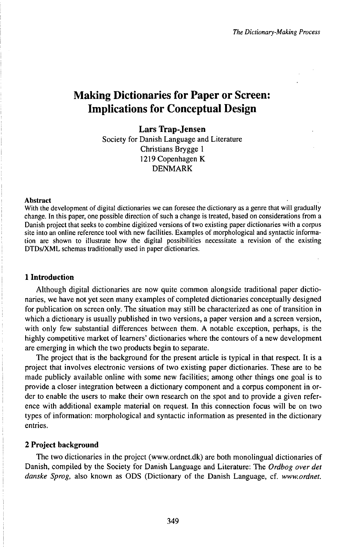# Making Dictionaries for Paper or Screen: Implications for Conceptual Design

**Lars Trap-Jensen** Society for Danish Language and Literature Christians Brygge <sup>1</sup> 1219 Copenhagen K DENMARK

#### Abstract

With the development of digital dictionaries we can foresee the dictionary as a genre that will gradually change. In this paper, one possible direction of such a change is treated, based on considerations from a Danish project that seeks to combine digitized versions of two existing paper dictionaries with a corpus site into an online reference tool with new facilities. Examples of morphological and syntactic information are shown to illustrate how the digital possibilities necessitate a revision of the existing DTDs/XML schemas traditionally used in paper dictionaries.

#### **1 Introduction**

Although digital dictionaries are now quite common alongside traditional paper dictionaries, we have not yet seen many examples of completed dictionaries conceptually designed for publication on screen only. The situation may still be characterized as one of transition in which a dictionary is usually published in two versions, a paper version and a screen version, with only few substantial differences between them. A notable exception, perhaps, is the highly competitive market of learners' dictionaries where the contours of a new development are emerging in which the two products begin to separate.

The project that is the background for the present article is typical in that respect. It is a project that involves electronic versions of two existing paper dictionaries. These are to be made publicly available online with some new facilities; among other things one goal is to provide a closer integration between a dictionary component and a corpus component in order to enable the users to make their own research on the spot and to provide a given reference with additional example material on request. In this connection focus will be on two types of information: morphological and syntactic information as presented in the dictionary entries.

# 2 **Project background**

The two dictionaries in the project (www.ordnet.dk) are both monolingual dictionaries of Danish, compiled by the Society for Danish Language and Literature: The *Ordbog over det danske Sprog,* also known as ODS (Dictionary of the Danish Language, cf. *www.ordnet.*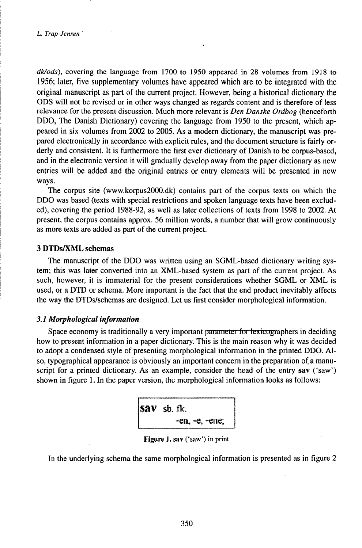*dk/ods),* covering the language from 1700 to 1950 appeared in 28 volumes from 1918 to 1956; later, five supplementary volumes have appeared which are to be integrated with the original manuscript as part of the current project. However, being a historical dictionary the ODS will not be revised or in other ways changed as regards content and is therefore of less relevance for the present discussion. Much more relevant is *Den Danske Ordbog* (henceforth DDO, The Danish Dictionary) covering the language from 1950 to the present, which appeared in six volumes from 2002 to 2005. As a modern dictionary, the manuscript was prepared electronically in accordance with explicit rules, and the document structure is fairly orderly and consistent. It is furthermore the first ever dictionary of Danish to be corpus-based, and in the electronic version it will gradually develop away from the paper dictionary as new entries will be added and the original entries or entry elements will be presented in new ways.

The corpus site (www.korpus2000.dk) contains part of the corpus texts on which the DDO was based (texts with special restrictions and spoken language texts have been excluded), covering the period 1988-92, as well as later collections of texts from 1998 to 2002. At present, the corpus contains approx. 56 million words, a number that will grow continuously as more texts are added as part of the current project.

## **3 DTDsßiML schemas**

The manuscript of the DDO was written using an SGML-based dictionary writing system; this was later converted into an XML-based system as part of the current project. As such, however, it is immaterial for the present considerations whether SGML or XML is used, or a DTD or schema. More important is the fact that the end product inevitably affects the way the DTDs/schemas are designed. Let us first consider morphological information.

## *3.1 Morphological information*

Space economy is traditionally a very important parameter for lexicographers in deciding how to present information in a paper dictionary. This is the main reason why it was decided to adopt a condensed style of presenting morphological information in the printed DDO. Also, typographical appearance is obviously an important concern in the preparation of a manuscript for a printed dictionary. As an example, consider the head of the entry **sav** ('saw') shown in figure 1. In the paper version, the morphological information looks as follows:

$$
\begin{vmatrix}\n\text{SAV} & \text{sb. ft.} \\
-\text{en, -e, -e.} \\
\end{vmatrix}
$$

# Figure 1. sav ('saw') in print

In the underlying schema the same morphological information is presented as in figure 2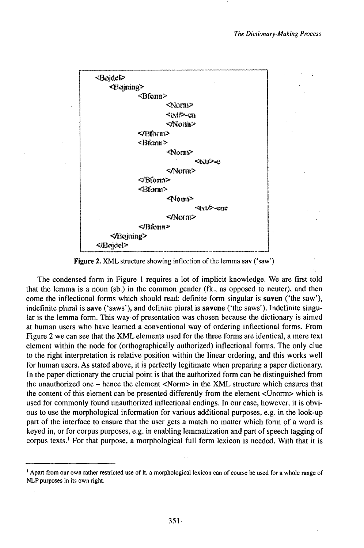

**Figure 2.** XML structure showing inflection of the lemma sav ('saw')

The condensed form in Figure <sup>1</sup> requires a lot of implicit knowledge. We are first told that the lemma is a noun (sb.) in the common gender (fk., as opposed to neuter), and then come the inflectional forms which should read: definite form singular is **saven** ('the saw'), indefinite plural is **save** ('saws'), and definite plural is **savene** ('the saws'). Indefinite singular is the lemma form. This way of presentation was chosen because the dictionary is aimed at human users who have learned a conventional way of ordering inflectional forms. From Figure 2 we can see that the XML elements used for the three forms are identical, a mere text element within the node for (orthographically authorized) inflectional forms. The only clue to the right interpretation is relative position within the linear ordering, and this works well for human users. As stated above, it is perfectly legitimate when preparing a paper dictionary. In the paper dictionary the crucial point is that the authorized form can be distinguished from the unauthorized one - hence the element <Norm> in the XML structure which ensures that the content of this element can be presented differently from the element <Unorm> which is used for commonly found unauthorized inflectional endings. In our case, however, it is obvious to use the morphological information for various additional purposes, e.g. in the look-up part of the interface to ensure that the user gets a match no matter which form of a word is keyed in, or for corpus purposes, e.g. in enabling lemmatization and part of speech tagging of corpus texts.<sup>1</sup> For that purpose, a morphological full form lexicon is needed. With that it is

<sup>&#</sup>x27; Apart from our own rather restricted use of it, a morphological lexicon can of course be used for a whole range of NLP purposes in its own right.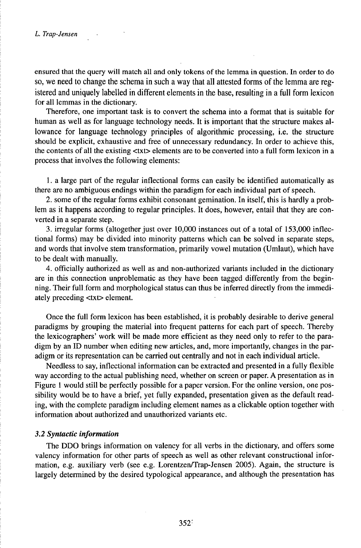ensured that the query will match all and only tokens of the lemma in question. In order to do so, we need to change the schema in such a way that all attested forms of the lemma are registered and uniquely labelled in different elements in the base, resulting in a full form lexicon for all lemmas in the dictionary.

Therefore, one important task is to convert the schema into a format that is suitable for human as well as for language technology needs. It is important that the structure makes allowance for language technology principles of algorithmic processing, i.e. the structure should be explicit, exhaustive and free of unnecessary redundancy. In order to achieve this, the contents of all the existing <txt> elements are to be converted into a full form lexicon in a process that involves the following elements:

1. a large part of the regular inflectional forms can easily be identified automatically as there are no ambiguous endings within the paradigm for each individual part of speech.

2. some of the regular forms exhibit consonant gemination. In itself, this is hardly a problem as it happens according to regular principles. It does, however, entail that they are converted in a separate step.

3. irregular forms (altogether just over  $10,000$  instances out of a total of  $153,000$  inflectional forms) may be divided into minority patterns which can be solved in separate steps, and words that involve stem transformation, primarily vowel mutation (Umlaut), which have to be dealt with manually.

4. officially authorized as well as and non-authorized variants included in the dictionary are in this connection unproblematic as they have been tagged differently from the beginning. Their full form and morphological status can thus be inferred directly from the immediately preceding <txt> element.

Once the full form lexicon has been established, it is probably desirable to derive general paradigms by grouping the material into frequent patterns for each part of speech. Thereby the lexicographers' work will be made more efficient as they need only to refer to the paradigm by an ID number when editing new articles, and, more importantly, changes in the paradigm or its representation can be carried out centrally and not in each individual article.

Needless to say, inflectional information can be extracted and presented in a fully flexible way according to the actual publishing need, whether on screen or paper. A presentation as in Figure <sup>1</sup> would still be perfectly possible for a paper version. For the online version, one possibility would be to have a brief, yet fully expanded, presentation given as the default reading, with the complete paradigm including element names as a clickable option together with information about authorized and unauthorized variants etc.

### *3.2 Syntactic information*

The DDO brings information on valency for all verbs in the dictionary, and offers some valency information for other parts of speech as well as other relevant constructional information, e.g. auxiliary verb (see e.g. Lorentzen/Trap-Jensen 2005). Again, the structure is largely determined by the desired typological appearance, and although the presentation has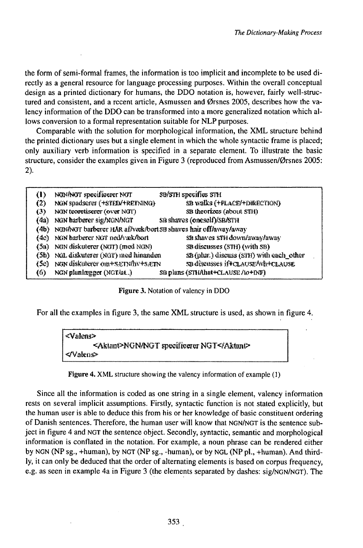the form of semi-formal frames, the information is too implicit and incomplete to be used directly as a general resource for language processing purposes. Within the overall conceptual design as a printed dictionary for humans, the DDO notation is, however, fairly well-structured and consistent, and a recent article, Asmussen and Ørsnes 2005, describes how the valency information of the DDO can be transformed into a more generalized notation which allows conversion to a formal representation suitable for NLP purposes.

Comparable with the solution for morphological information, the XML structure behind the printed dictionary uses but a single element in which the whole syntactic frame is placed; only auxiliary verb information is specified in a separate element. To illustrate the basic structure, consider the examples given in Figure 3 (reproduced from Asmussen/Ørsnes 2005: 2).

| $\bf{u}$ | NON/NOT specificerer NOT                                       | SB/STH specifies STH                     |
|----------|----------------------------------------------------------------|------------------------------------------|
| (2)      | NGW spadsorer (+STED/+RETNING)                                 | <b>SB walks (+FLACE/+DIRECTION)</b>      |
| (3)      | NON teoretiserer (over NOT)                                    | SB theorizes (about STH)                 |
| (4a)     | NGN harberer sig/NGN/NGT                                       | SB shaves (oneself)/SB/STH               |
| (4b)     | NIDI/NUT barberer HAR af/wek/bort SB shaves hair off/away/away |                                          |
| (4c)     | NGN barberer NGT ned/væk/bort                                  | SB shaves STH down/away/away             |
| (5u)     | NON diskuterer (NOT) (med NON)                                 | SB discusses (STH) (with SB)             |
| (5b).    | NGL diskuterer (NGT) med hinanden                              | SB (plur.) discuss (STH) with each_other |
|          | (Se) NGN diskuterer om+SETMhv+SÆTN                             | SB discusses if#CLAUSE/Wh+CLAUSE         |
| (6)      | NGN plunlægger (NGT/at)                                        | SB plans (STHAbat+CLAUSE /to+INF)        |

Figure 3. Notation of valency in DDO

For all the examples in figure 3, the same XML structure is used, as shown in figure 4.

| <valens></valens>                         |
|-------------------------------------------|
| <aktant>NGN/NGT specificerer NGT</aktant> |
| l ⊲/Valenc≻l                              |
|                                           |

|  |  | Figure 4. XML structure showing the valency information of example (1) |  |
|--|--|------------------------------------------------------------------------|--|
|--|--|------------------------------------------------------------------------|--|

Since all the information is coded as one string in a single element, valency information rests on several implicit assumptions. Firstly, syntactic function is not stated explicitly, but the human user is able to deduce this from his or her knowledge of basic constituent ordering of Danish sentences. Therefore, the human user will know that NGN/NGT is the sentence subject in figure 4 and NGT the sentence object. Secondly, syntactic, semantic and morphological information is conflated in the notation. For example, a noun phrase can be rendered either by NGN (NP sg., +human), by NGT (NP sg., -human), or by NGL (NP pl., +human). And thirdly, it can only be deduced that the order of alternating elements is based on corpus frequency, e.g. as seen in example 4a in Figure 3 (the elements separated by dashes: sig/NGN/NGT). The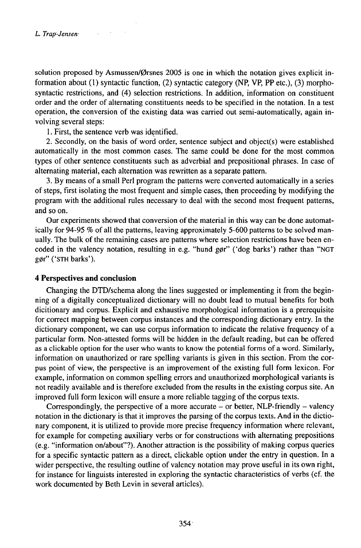solution proposed by Asmussen/Ørsnes 2005 is one in which the notation gives explicit information about (1) syntactic function, (2) syntactic category (NP, VP, PP etc.), (3) morphosyntactic restrictions, and (4) selection restrictions. In addition, information on constituent order and the order of alternating constituents needs to be specified in the notation. In a test operation, the conversion of the existing data was carried out semi-automatically, again involving several steps:

1. First, the sentence verb was identified.

2. Secondly, on the basis of word order, sentence subject and object(s) were established automatically in the most common cases. The same could be done for the most common types of other sentence constituents such as adverbial and prepositional phrases. In case of alternating material, each alternation was rewritten as a separate pattern.

3. By means of a small Perl program the patterns were converted automatically in a series of steps, first isolating the most frequent and simple cases, then proceeding by modifying the program with the additional rules necessary to deal with the second most frequent patterns, and so on.

Our experiments showed that conversion of the material in this way can be done automatically for 94-95 % of all the patterns, leaving approximately 5-600 patterns to be solved manually. The bulk of the remaining cases are patterns where selection restrictions have been encoded in the valency notation, resulting in e.g. "hund gør" ('dog barks') rather than "NGT gør" ('STH barks').

## **4 Perspectives and conclusion**

Changing the DTD/schema along the lines suggested or implementing it from the beginning of a digitally conceptualized dictionary will no doubt lead to mutual benefits for both dicitionary and corpus. Explicit and exhaustive morphological information is a prerequisite for correct mapping between corpus instances and the corresponding dictionary entry. In the dictionary component, we can use corpus information to indicate the relative frequency of a particular form. Non-attested forms will be hidden in the default reading, but can be offered as a clickable option for the user who wants to know the potential forms of a word. Similarly, information on unauthorized or rare spelling variants is given in this section. From the corpus point of view, the perspective is an improvement of the existing full form lexicon. For example, information on common spelling errors and unauthorized morphological variants is not readily available and is therefore excluded from the results in the existing corpus site. An improved full form lexicon will ensure a more reliable tagging of the corpus texts.

Correspondingly, the perspective of a more accurate  $-$  or better, NLP-friendly  $-$  valency notation in the dictionary is that it improves the parsing of the corpus texts. And in the dictionary component, it is utilized to provide more precise frequency information where relevant, for example for competing auxiliary verbs or for constructions with alternating prepositions (e.g. "information on/about"?). Another attraction is the possibility ofmaking corpus queries for a specific syntactic pattern as a direct, clickable option under the entry in question. In a wider perspective, the resulting outline of valency notation may prove useful in its own right, for instance for linguists interested in exploring the syntactic characteristics of verbs (cf. the work documented by Beth Levin in several articles).